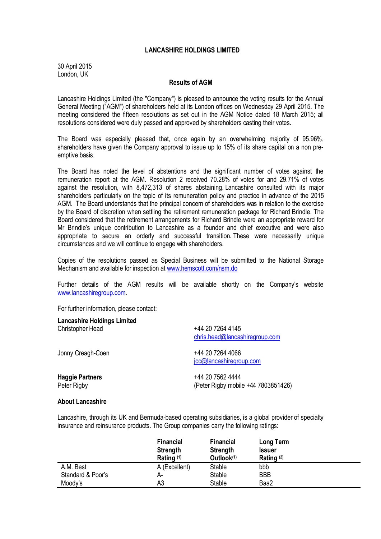## **LANCASHIRE HOLDINGS LIMITED**

30 April 2015 London, UK

## **Results of AGM**

Lancashire Holdings Limited (the "Company") is pleased to announce the voting results for the Annual General Meeting ("AGM") of shareholders held at its London offices on Wednesday 29 April 2015. The meeting considered the fifteen resolutions as set out in the AGM Notice dated 18 March 2015; all resolutions considered were duly passed and approved by shareholders casting their votes.

The Board was especially pleased that, once again by an overwhelming majority of 95.96%, shareholders have given the Company approval to issue up to 15% of its share capital on a non preemptive basis.

The Board has noted the level of abstentions and the significant number of votes against the remuneration report at the AGM. Resolution 2 received 70.28% of votes for and 29.71% of votes against the resolution, with 8,472,313 of shares abstaining. Lancashire consulted with its major shareholders particularly on the topic of its remuneration policy and practice in advance of the 2015 AGM. The Board understands that the principal concern of shareholders was in relation to the exercise by the Board of discretion when settling the retirement remuneration package for Richard Brindle. The Board considered that the retirement arrangements for Richard Brindle were an appropriate reward for Mr Brindle's unique contribution to Lancashire as a founder and chief executive and were also appropriate to secure an orderly and successful transition. These were necessarily unique circumstances and we will continue to engage with shareholders.

Copies of the resolutions passed as Special Business will be submitted to the National Storage Mechanism and available for inspection at [www.hemscott.com/nsm.do](http://www.hemscott.com/nsm.do)

Further details of the AGM results will be available shortly on the Company's website [www.lancashiregroup.com.](http://www.lancashiregroup.com/)

For further information, please contact:

| <b>Lancashire Holdings Limited</b> | +44 20 7264 4145                            |  |  |
|------------------------------------|---------------------------------------------|--|--|
| Christopher Head                   | chris.head@lancashiregroup.com              |  |  |
| Jonny Creagh-Coen                  | +44 20 7264 4066<br>jcc@lancashiregroup.com |  |  |
| <b>Haggie Partners</b>             | +44 20 7562 4444                            |  |  |
| Peter Rigby                        | (Peter Rigby mobile +44 7803851426)         |  |  |

## **About Lancashire**

Lancashire, through its UK and Bermuda-based operating subsidiaries, is a global provider of specialty insurance and reinsurance products. The Group companies carry the following ratings:

|                   | <b>Financial</b><br><b>Strength</b><br>Rating <sup>(1)</sup> | <b>Financial</b><br><b>Strength</b><br>Outlook(1) | Long Term<br><b>Issuer</b><br>Rating <sup>(2)</sup> |  |
|-------------------|--------------------------------------------------------------|---------------------------------------------------|-----------------------------------------------------|--|
| A.M. Best         | A (Excellent)                                                | Stable                                            | bbb                                                 |  |
| Standard & Poor's | А-                                                           | <b>Stable</b>                                     | <b>BBB</b>                                          |  |
| Moody's           | A3                                                           | Stable                                            | Baa2                                                |  |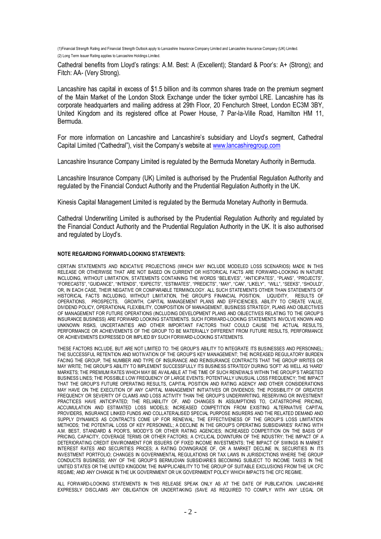(1)Financial Strength Rating and Financial Strength Outlook apply to Lancashire Insurance Company Limited and Lancashire Insurance Company (UK) Limited. (2) Long Term Issuer Rating applies to Lancashire Holdings Limited.

Cathedral benefits from Lloyd's ratings: A.M. Best: A (Excellent); Standard & Poor's: A+ (Strong); and Fitch: AA- (Very Strong).

Lancashire has capital in excess of \$1.5 billion and its common shares trade on the premium segment of the Main Market of the London Stock Exchange under the ticker symbol LRE. Lancashire has its corporate headquarters and mailing address at 29th Floor, 20 Fenchurch Street, London EC3M 3BY, United Kingdom and its registered office at Power House, 7 Par-la-Ville Road, Hamilton HM 11, Bermuda.

For more information on Lancashire and Lancashire's subsidiary and Lloyd's segment, Cathedral Capital Limited ("Cathedral"), visit the Company's website at [www.lancashiregroup.com](http://www.lancashiregroup.com/)

Lancashire Insurance Company Limited is regulated by the Bermuda Monetary Authority in Bermuda.

Lancashire Insurance Company (UK) Limited is authorised by the Prudential Regulation Authority and regulated by the Financial Conduct Authority and the Prudential Regulation Authority in the UK.

Kinesis Capital Management Limited is regulated by the Bermuda Monetary Authority in Bermuda.

Cathedral Underwriting Limited is authorised by the Prudential Regulation Authority and regulated by the Financial Conduct Authority and the Prudential Regulation Authority in the UK. It is also authorised and regulated by Lloyd's.

## **NOTE REGARDING FORWARD-LOOKING STATEMENTS:**

CERTAIN STATEMENTS AND INDICATIVE PROJECTIONS (WHICH MAY INCLUDE MODELED LOSS SCENARIOS) MADE IN THIS RELEASE OR OTHERWISE THAT ARE NOT BASED ON CURRENT OR HISTORICAL FACTS ARE FORWARD-LOOKING IN NATURE INCLUDING, WITHOUT LIMITATION, STATEMENTS CONTAINING THE WORDS "BELIEVES", "ANTICIPATES", "PLANS", "PROJECTS", "FORECASTS", "GUIDANCE", "INTENDS", "EXPECTS", "ESTIMATES", "PREDICTS", "MAY", "CAN", "LIKELY", "WILL", "SEEKS", "SHOULD", OR, IN EACH CASE, THEIR NEGATIVE OR COMPARABLE TERMINOLOGY. ALL SUCH STATEMENTS OTHER THAN STATEMENTS OF HISTORICAL FACTS INCLUDING, WITHOUT LIMITATION, THE GROUP'S FINANCIAL POSITION, LIQUIDITY, RESULTS OF OPERATIONS, PROSPECTS, GROWTH, CAPITAL MANAGEMENT PLANS AND EFFICIENCIES, ABILITY TO CREATE VALUE, DIVIDEND POLICY, OPERATIONAL FLEXIBILITY, COMPOSITION OF MANAGEMENT, BUSINESS STRATEGY, PLANS AND OBJECTIVES OF MANAGEMENT FOR FUTURE OPERATIONS (INCLUDING DEVELOPMENT PLANS AND OBJECTIVES RELATING TO THE GROUP'S INSURANCE BUSINESS) ARE FORWARD LOOKING STATEMENTS. SUCH FORWARD-LOOKING STATEMENTS INVOLVE KNOWN AND UNKNOWN RISKS, UNCERTAINTIES AND OTHER IMPORTANT FACTORS THAT COULD CAUSE THE ACTUAL RESULTS, PERFORMANCE OR ACHIEVEMENTS OF THE GROUP TO BE MATERIALLY DIFFERENT FROM FUTURE RESULTS, PERFORMANCE OR ACHIEVEMENTS EXPRESSED OR IMPLIED BY SUCH FORWARD-LOOKING STATEMENTS.

THESE FACTORS INCLUDE, BUT ARE NOT LIMITED TO: THE GROUP'S ABILITY TO INTEGRATE ITS BUSINESSES AND PERSONNEL; THE SUCCESSFUL RETENTION AND MOTIVATION OF THE GROUP'S KEY MANAGEMENT; THE INCREASED REGULATORY BURDEN FACING THE GROUP, THE NUMBER AND TYPE OF INSURANCE AND REINSURANCE CONTRACTS THAT THE GROUP WRITES OR MAY WRITE; THE GROUP'S ABILITY TO IMPLEMENT SUCCESSFULLY ITS BUSINESS STRATEGY DURING 'SOFT' AS WELL AS 'HARD' MARKETS; THE PREMIUM RATES WHICH MAY BE AVAILABLE AT THE TIME OF SUCH RENEWALS WITHIN THE GROUP'S TARGETED BUSINESS LINES; THE POSSIBLE LOW FREQUENCY OF LARGE EVENTS; POTENTIALLY UNUSUAL LOSS FREQUENCY; THE IMPACT THAT THE GROUP'S FUTURE OPERATING RESULTS, CAPITAL POSITION AND RATING AGENCY AND OTHER CONSIDERATIONS MAY HAVE ON THE EXECUTION OF ANY CAPITAL MANAGEMENT INITIATIVES OR DIVIDENDS; THE POSSIBILITY OF GREATER FREQUENCY OR SEVERITY OF CLAIMS AND LOSS ACTIVITY THAN THE GROUP'S UNDERWRITING, RESERVING OR INVESTMENT PRACTICES HAVE ANTICIPATED; THE RELIABILITY OF, AND CHANGES IN ASSUMPTIONS TO, CATASTROPHE PRICING, ACCUMULATION AND ESTIMATED LOSS MODELS; INCREASED COMPETITION FROM EXISTING ALTERNATIVE CAPITAL PROVIDERS, INSURANCE LINKED FUNDS AND COLLATERALISED SPECIAL PURPOSE INSURERS AND THE RELATED DEMAND AND SUPPLY DYNAMICS AS CONTRACTS COME UP FOR RENEWAL; THE EFFECTIVENESS OF THE GROUP'S LOSS LIMITATION METHODS; THE POTENTIAL LOSS OF KEY PERSONNEL; A DECLINE IN THE GROUP'S OPERATING SUBSIDIARIES' RATING WITH A.M. BEST, STANDARD & POOR'S, MOODY'S OR OTHER RATING AGENCIES; INCREASED COMPETITION ON THE BASIS OF PRICING, CAPACITY, COVERAGE TERMS OR OTHER FACTORS; A CYCLICAL DOWNTURN OF THE INDUSTRY; THE IMPACT OF A DETERIORATING CREDIT ENVIRONMENT FOR ISSUERS OF FIXED INCOME INVESTMENTS; THE IMPACT OF SWINGS IN MARKET INTEREST RATES AND SECURITIES PRICES; A RATING DOWNGRADE OF, OR A MARKET DECLINE IN, SECURITIES IN ITS INVESTMENT PORTFOLIO; CHANGES IN GOVERNMENTAL REGULATIONS OR TAX LAWS IN JURISDICTIONS WHERE THE GROUP CONDUCTS BUSINESS; ANY OF THE GROUP'S BERMUDIAN SUBSIDIARIES BECOMING SUBJECT TO INCOME TAXES IN THE UNITED STATES OR THE UNITED KINGDOM; THE INAPPLICABILITY TO THE GROUP OF SUITABLE EXCLUSIONS FROM THE UK CFC REGIME; AND ANY CHANGE IN THE UK GOVERNMENT OR UK GOVERNMENT POLICY WHICH IMPACTS THE CFC REGIME.

ALL FORWARD-LOOKING STATEMENTS IN THIS RELEASE SPEAK ONLY AS AT THE DATE OF PUBLICATION. LANCASHIRE EXPRESSLY DISCLAIMS ANY OBLIGATION OR UNDERTAKING (SAVE AS REQUIRED TO COMPLY WITH ANY LEGAL OR